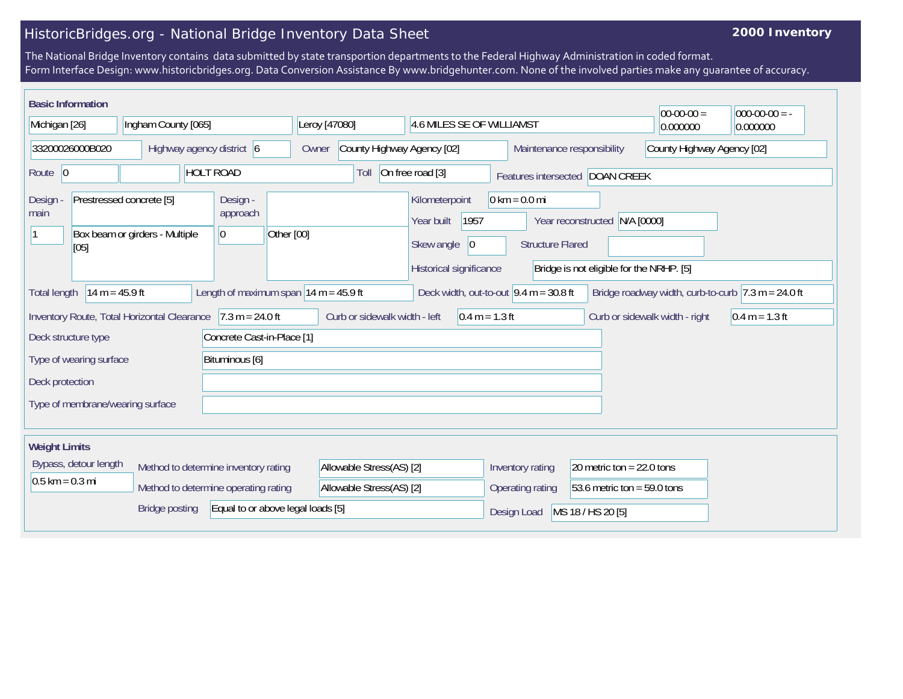## HistoricBridges.org - National Bridge Inventory Data Sheet

## **2000 Inventory**

The National Bridge Inventory contains data submitted by state transportion departments to the Federal Highway Administration in coded format. Form Interface Design: www.historicbridges.org. Data Conversion Assistance By www.bridgehunter.com. None of the involved parties make any guarantee of accuracy.

| <b>Basic Information</b>                                                                                                                                                                                                 |  |                           |  |                            |                                                   |                                     |                          |                                                   |                                            |                                                          | $00-00-00 =$                                                                                   | $ 000-00-00 $ = - |                                          |  |          |          |
|--------------------------------------------------------------------------------------------------------------------------------------------------------------------------------------------------------------------------|--|---------------------------|--|----------------------------|---------------------------------------------------|-------------------------------------|--------------------------|---------------------------------------------------|--------------------------------------------|----------------------------------------------------------|------------------------------------------------------------------------------------------------|-------------------|------------------------------------------|--|----------|----------|
| Michigan [26]                                                                                                                                                                                                            |  | Ingham County [065]       |  |                            |                                                   | Leroy [47080]                       |                          |                                                   | 4.6 MILES SE OF WILLIAMST                  |                                                          |                                                                                                |                   |                                          |  | 0.000000 | 0.000000 |
| 33200026000B020                                                                                                                                                                                                          |  | Highway agency district 6 |  |                            |                                                   | County Highway Agency [02]<br>Owner |                          |                                                   |                                            | County Highway Agency [02]<br>Maintenance responsibility |                                                                                                |                   |                                          |  |          |          |
| Route $\vert 0 \vert$                                                                                                                                                                                                    |  |                           |  | <b>HOLT ROAD</b>           |                                                   |                                     | On free road [3]<br>Toll |                                                   |                                            |                                                          | Features intersected DOAN CREEK                                                                |                   |                                          |  |          |          |
| Prestressed concrete [5]<br>Design<br>main<br>Box beam or girders - Multiple<br>[05]                                                                                                                                     |  |                           |  | Design -<br>approach<br> 0 | Other [00]                                        |                                     |                          |                                                   | Kilometerpoint<br>Year built<br>Skew angle | 1957<br> 0                                               | $0 \text{ km} = 0.0 \text{ mi}$<br>N/A [0000]<br>Year reconstructed<br><b>Structure Flared</b> |                   |                                          |  |          |          |
|                                                                                                                                                                                                                          |  |                           |  |                            |                                                   |                                     |                          |                                                   | Historical significance                    |                                                          |                                                                                                |                   | Bridge is not eligible for the NRHP. [5] |  |          |          |
| $14 m = 45.9 ft$<br>Length of maximum span $14 m = 45.9 ft$<br>Deck width, out-to-out $9.4 \text{ m} = 30.8 \text{ ft}$<br>Bridge roadway width, curb-to-curb $ 7.3 \text{ m} = 24.0 \text{ ft} $<br><b>Total length</b> |  |                           |  |                            |                                                   |                                     |                          |                                                   |                                            |                                                          |                                                                                                |                   |                                          |  |          |          |
| $7.3 m = 24.0 ft$<br>Inventory Route, Total Horizontal Clearance                                                                                                                                                         |  |                           |  |                            | Curb or sidewalk width - left<br>$0.4 m = 1.3 ft$ |                                     |                          |                                                   |                                            |                                                          | Curb or sidewalk width - right                                                                 | $0.4 m = 1.3 ft$  |                                          |  |          |          |
| Concrete Cast-in-Place [1]<br>Deck structure type                                                                                                                                                                        |  |                           |  |                            |                                                   |                                     |                          |                                                   |                                            |                                                          |                                                                                                |                   |                                          |  |          |          |
| Bituminous [6]<br>Type of wearing surface                                                                                                                                                                                |  |                           |  |                            |                                                   |                                     |                          |                                                   |                                            |                                                          |                                                                                                |                   |                                          |  |          |          |
| Deck protection                                                                                                                                                                                                          |  |                           |  |                            |                                                   |                                     |                          |                                                   |                                            |                                                          |                                                                                                |                   |                                          |  |          |          |
| Type of membrane/wearing surface                                                                                                                                                                                         |  |                           |  |                            |                                                   |                                     |                          |                                                   |                                            |                                                          |                                                                                                |                   |                                          |  |          |          |
|                                                                                                                                                                                                                          |  |                           |  |                            |                                                   |                                     |                          |                                                   |                                            |                                                          |                                                                                                |                   |                                          |  |          |          |
| <b>Weight Limits</b>                                                                                                                                                                                                     |  |                           |  |                            |                                                   |                                     |                          |                                                   |                                            |                                                          |                                                                                                |                   |                                          |  |          |          |
| Bypass, detour length<br>Method to determine inventory rating                                                                                                                                                            |  |                           |  | Allowable Stress(AS) [2]   |                                                   |                                     |                          | Inventory rating<br>20 metric ton = $22.0$ tons   |                                            |                                                          |                                                                                                |                   |                                          |  |          |          |
| $0.5$ km = 0.3 mi<br>Method to determine operating rating                                                                                                                                                                |  |                           |  | Allowable Stress(AS) [2]   |                                                   |                                     |                          | 53.6 metric ton = $59.0$ tons<br>Operating rating |                                            |                                                          |                                                                                                |                   |                                          |  |          |          |
| Equal to or above legal loads [5]<br><b>Bridge posting</b>                                                                                                                                                               |  |                           |  |                            |                                                   |                                     |                          |                                                   | MS 18 / HS 20 [5]<br>Design Load           |                                                          |                                                                                                |                   |                                          |  |          |          |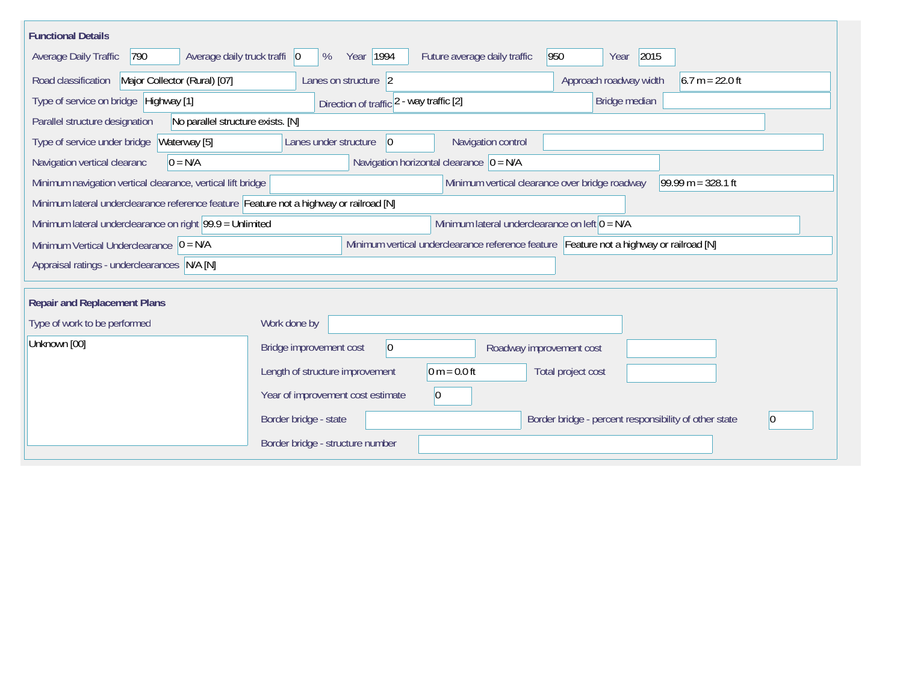| <b>Functional Details</b>                                                                                                               |                                                   |                          |                                                       |                   |  |  |  |  |  |  |
|-----------------------------------------------------------------------------------------------------------------------------------------|---------------------------------------------------|--------------------------|-------------------------------------------------------|-------------------|--|--|--|--|--|--|
| 2015<br>Average daily truck traffi 0<br>Year   1994<br>Future average daily traffic<br>950<br>Average Daily Traffic<br>790<br>%<br>Year |                                                   |                          |                                                       |                   |  |  |  |  |  |  |
| Road classification<br>Major Collector (Rural) [07]                                                                                     | Lanes on structure 2                              |                          | Approach roadway width                                | $6.7 m = 22.0 ft$ |  |  |  |  |  |  |
| Type of service on bridge Highway [1]                                                                                                   | Direction of traffic 2 - way traffic [2]          |                          | Bridge median                                         |                   |  |  |  |  |  |  |
| No parallel structure exists. [N]<br>Parallel structure designation                                                                     |                                                   |                          |                                                       |                   |  |  |  |  |  |  |
| Type of service under bridge<br>Waterway [5]                                                                                            | Lanes under structure<br>$ 0\rangle$              | Navigation control       |                                                       |                   |  |  |  |  |  |  |
| Navigation horizontal clearance $ 0 = N/A $<br>Navigation vertical clearanc<br>$0 = N/A$                                                |                                                   |                          |                                                       |                   |  |  |  |  |  |  |
| Minimum navigation vertical clearance, vertical lift bridge                                                                             | $99.99 m = 328.1 ft$                              |                          |                                                       |                   |  |  |  |  |  |  |
| Minimum lateral underclearance reference feature Feature not a highway or railroad [N]                                                  |                                                   |                          |                                                       |                   |  |  |  |  |  |  |
| Minimum lateral underclearance on left $0 = N/A$<br>Minimum lateral underclearance on right $99.9 =$ Unlimited                          |                                                   |                          |                                                       |                   |  |  |  |  |  |  |
| Minimum vertical underclearance reference feature Feature not a highway or railroad [N]<br>Minimum Vertical Underclearance $ 0 = N/A $  |                                                   |                          |                                                       |                   |  |  |  |  |  |  |
| Appraisal ratings - underclearances N/A [N]                                                                                             |                                                   |                          |                                                       |                   |  |  |  |  |  |  |
|                                                                                                                                         |                                                   |                          |                                                       |                   |  |  |  |  |  |  |
| <b>Repair and Replacement Plans</b>                                                                                                     |                                                   |                          |                                                       |                   |  |  |  |  |  |  |
| Type of work to be performed                                                                                                            | Work done by                                      |                          |                                                       |                   |  |  |  |  |  |  |
| Unknown [00]                                                                                                                            | 0 <br>Bridge improvement cost                     | Roadway improvement cost |                                                       |                   |  |  |  |  |  |  |
|                                                                                                                                         | $0 m = 0.0 ft$<br>Length of structure improvement |                          | Total project cost                                    |                   |  |  |  |  |  |  |
|                                                                                                                                         | Year of improvement cost estimate<br> 0           |                          |                                                       |                   |  |  |  |  |  |  |
|                                                                                                                                         | Border bridge - state                             |                          | Border bridge - percent responsibility of other state |                   |  |  |  |  |  |  |
|                                                                                                                                         | Border bridge - structure number                  |                          |                                                       |                   |  |  |  |  |  |  |